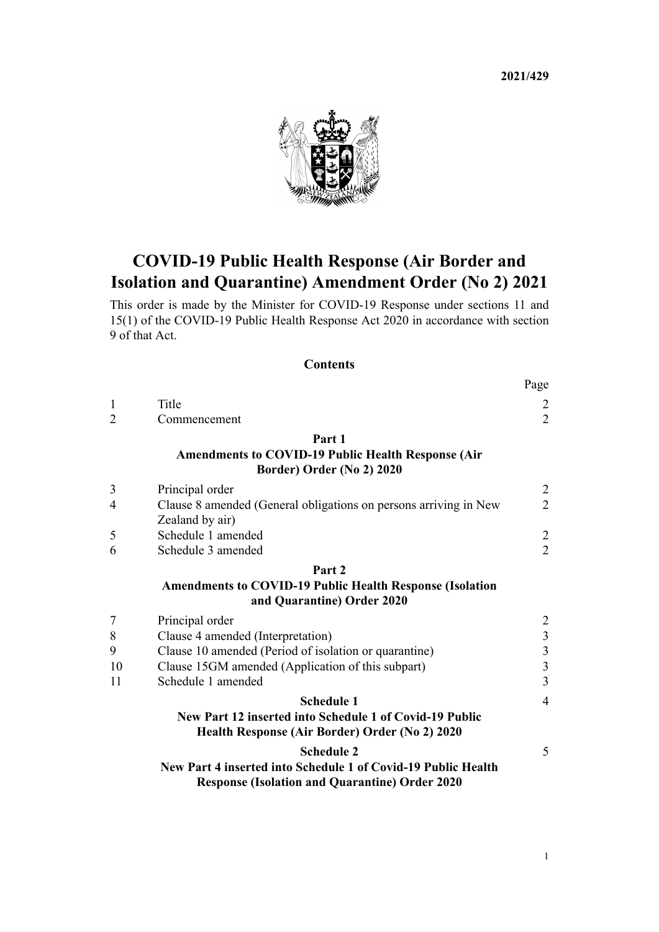**2021/429**

Page



# **COVID-19 Public Health Response (Air Border and Isolation and Quarantine) Amendment Order (No 2) 2021**

This order is made by the Minister for COVID-19 Response under [sections 11](http://legislation.govt.nz/pdflink.aspx?id=LMS344177) and [15\(1\)](http://legislation.govt.nz/pdflink.aspx?id=LMS344183) of the [COVID-19 Public Health Response Act 2020](http://legislation.govt.nz/pdflink.aspx?id=LMS344121) in accordance with [section](http://legislation.govt.nz/pdflink.aspx?id=LMS344175) [9](http://legislation.govt.nz/pdflink.aspx?id=LMS344175) of that Act.

#### **Contents**

|                |                                                                                                                        | $\mathfrak{u}_{\mathcal{S}}^{\mathfrak{v}}$ |
|----------------|------------------------------------------------------------------------------------------------------------------------|---------------------------------------------|
| 1              | Title                                                                                                                  |                                             |
| $\overline{2}$ | Commencement                                                                                                           | $\frac{2}{2}$                               |
|                | Part 1                                                                                                                 |                                             |
|                | <b>Amendments to COVID-19 Public Health Response (Air)</b>                                                             |                                             |
|                | Border) Order (No 2) 2020                                                                                              |                                             |
| 3              | Principal order                                                                                                        |                                             |
| 4              | Clause 8 amended (General obligations on persons arriving in New                                                       | $\frac{2}{2}$                               |
|                | Zealand by air)                                                                                                        |                                             |
| 5              | Schedule 1 amended                                                                                                     | $\frac{2}{2}$                               |
| 6              | Schedule 3 amended                                                                                                     |                                             |
|                | Part 2                                                                                                                 |                                             |
|                | <b>Amendments to COVID-19 Public Health Response (Isolation</b>                                                        |                                             |
|                | and Quarantine) Order 2020                                                                                             |                                             |
| $\overline{7}$ | Principal order                                                                                                        |                                             |
| 8              | Clause 4 amended (Interpretation)                                                                                      |                                             |
| 9              | Clause 10 amended (Period of isolation or quarantine)                                                                  | $\begin{array}{c} 2 \\ 3 \\ 3 \end{array}$  |
| 10             | Clause 15GM amended (Application of this subpart)                                                                      |                                             |
| 11             | Schedule 1 amended                                                                                                     | $\overline{3}$                              |
|                | <b>Schedule 1</b>                                                                                                      | $\overline{4}$                              |
|                | New Part 12 inserted into Schedule 1 of Covid-19 Public                                                                |                                             |
|                | Health Response (Air Border) Order (No 2) 2020                                                                         |                                             |
|                | <b>Schedule 2</b>                                                                                                      | 5                                           |
|                | New Part 4 inserted into Schedule 1 of Covid-19 Public Health<br><b>Response (Isolation and Quarantine) Order 2020</b> |                                             |
|                |                                                                                                                        |                                             |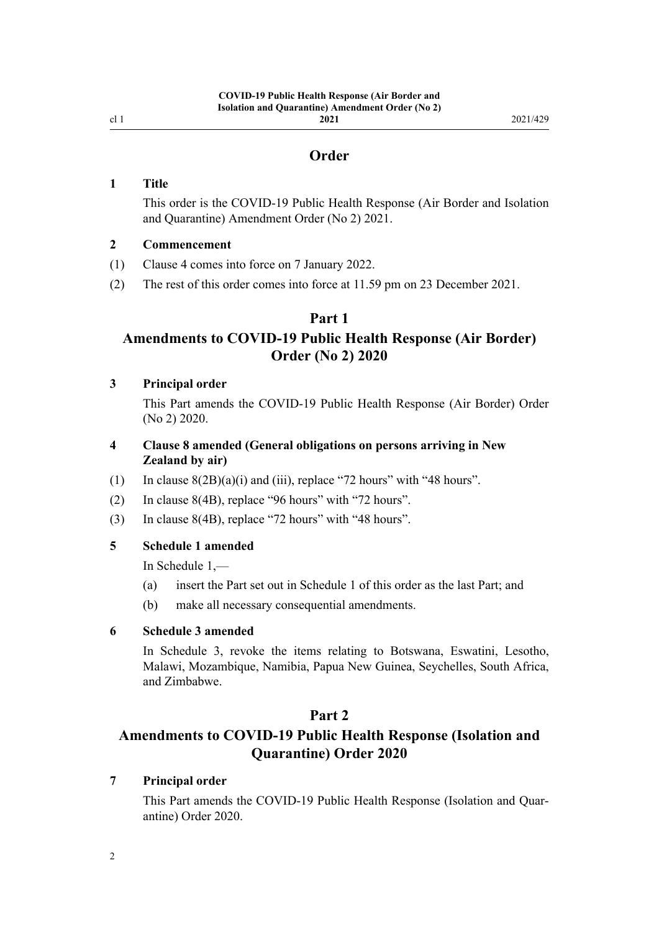<span id="page-1-0"></span>cl 1

## **Order**

#### **1 Title**

This order is the COVID-19 Public Health Response (Air Border and Isolation and Quarantine) Amendment Order (No 2) 2021.

#### **2 Commencement**

- (1) Clause 4 comes into force on 7 January 2022.
- (2) The rest of this order comes into force at 11.59 pm on 23 December 2021.

#### **Part 1**

## **Amendments to COVID-19 Public Health Response (Air Border) Order (No 2) 2020**

#### **3 Principal order**

This Part amends the [COVID-19 Public Health Response \(Air Border\) Order](http://legislation.govt.nz/pdflink.aspx?id=LMS403345) [\(No 2\) 2020](http://legislation.govt.nz/pdflink.aspx?id=LMS403345).

- **4 Clause 8 amended (General obligations on persons arriving in New Zealand by air)**
- (1) In clause  $8(2B)(a)(i)$  and (iii), replace "72 hours" with "48 hours".
- (2) In [clause 8\(4B\)](http://legislation.govt.nz/pdflink.aspx?id=LMS403374), replace "96 hours" with "72 hours".
- (3) In [clause 8\(4B\)](http://legislation.govt.nz/pdflink.aspx?id=LMS403374), replace "72 hours" with "48 hours".

### **5 Schedule 1 amended**

In [Schedule 1](http://legislation.govt.nz/pdflink.aspx?id=LMS403399),—

- (a) insert the Part set out in [Schedule 1](#page-3-0) of this order as the last Part; and
- (b) make all necessary consequential amendments.

#### **6 Schedule 3 amended**

In [Schedule 3,](http://legislation.govt.nz/pdflink.aspx?id=LMS487644) revoke the items relating to Botswana, Eswatini, Lesotho, Malawi, Mozambique, Namibia, Papua New Guinea, Seychelles, South Africa, and Zimbabwe.

#### **Part 2**

## **Amendments to COVID-19 Public Health Response (Isolation and Quarantine) Order 2020**

#### **7 Principal order**

This Part amends the [COVID-19 Public Health Response \(Isolation and Quar‐](http://legislation.govt.nz/pdflink.aspx?id=LMS401666) [antine\) Order 2020.](http://legislation.govt.nz/pdflink.aspx?id=LMS401666)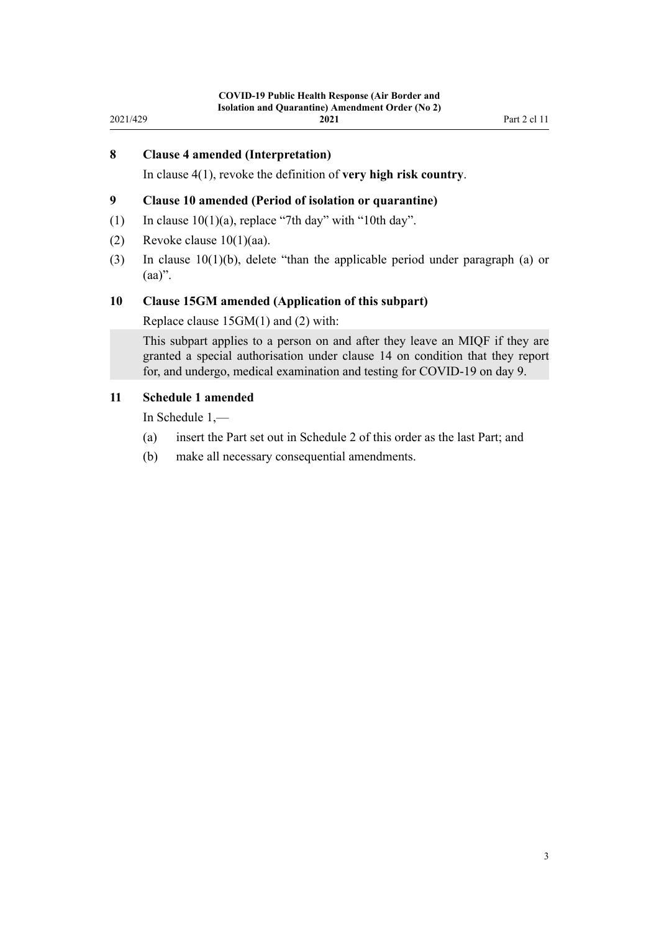#### <span id="page-2-0"></span>**8 Clause 4 amended (Interpretation)**

In [clause 4\(1\)](http://legislation.govt.nz/pdflink.aspx?id=LMS401701), revoke the definition of **very high risk country**.

#### **9 Clause 10 amended (Period of isolation or quarantine)**

- (1) In clause  $10(1)(a)$ , replace "7th day" with "10th day".
- (2) Revoke clause  $10(1)(aa)$ .
- (3) In [clause 10\(1\)\(b\),](http://legislation.govt.nz/pdflink.aspx?id=LMS401711) delete "than the applicable period under paragraph (a) or  $(aa)$ ".

#### **10 Clause 15GM amended (Application of this subpart)**

Replace [clause 15GM\(1\) and \(2\)](http://legislation.govt.nz/pdflink.aspx?id=LMS596637) with:

This subpart applies to a person on and after they leave an MIQF if they are granted a special authorisation under clause 14 on condition that they report for, and undergo, medical examination and testing for COVID-19 on day 9.

#### **11 Schedule 1 amended**

In [Schedule 1](http://legislation.govt.nz/pdflink.aspx?id=LMS401747),—

- (a) insert the Part set out in [Schedule 2](#page-4-0) of this order as the last Part; and
- (b) make all necessary consequential amendments.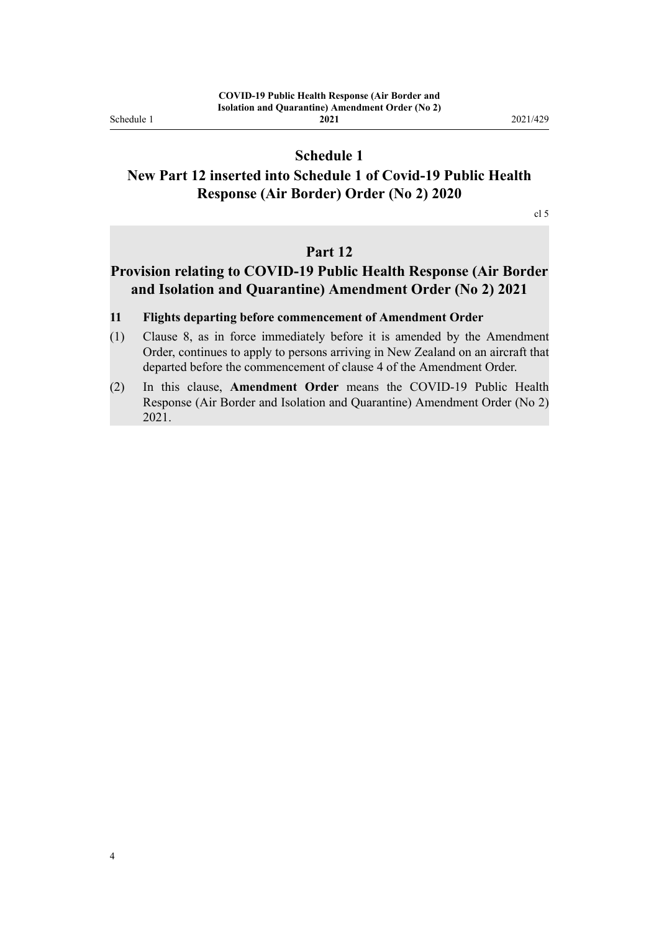<span id="page-3-0"></span>Schedule 1

## **Schedule 1**

## **New Part 12 inserted into Schedule 1 of Covid-19 Public Health Response (Air Border) Order (No 2) 2020**

cl 5

## **Part 12**

## **Provision relating to COVID-19 Public Health Response (Air Border and Isolation and Quarantine) Amendment Order (No 2) 2021**

#### **11 Flights departing before commencement of Amendment Order**

- (1) Clause 8, as in force immediately before it is amended by the Amendment Order, continues to apply to persons arriving in New Zealand on an aircraft that departed before the commencement of clause 4 of the Amendment Order.
- (2) In this clause, **Amendment Order** means the COVID-19 Public Health Response (Air Border and Isolation and Quarantine) Amendment Order (No 2) 2021.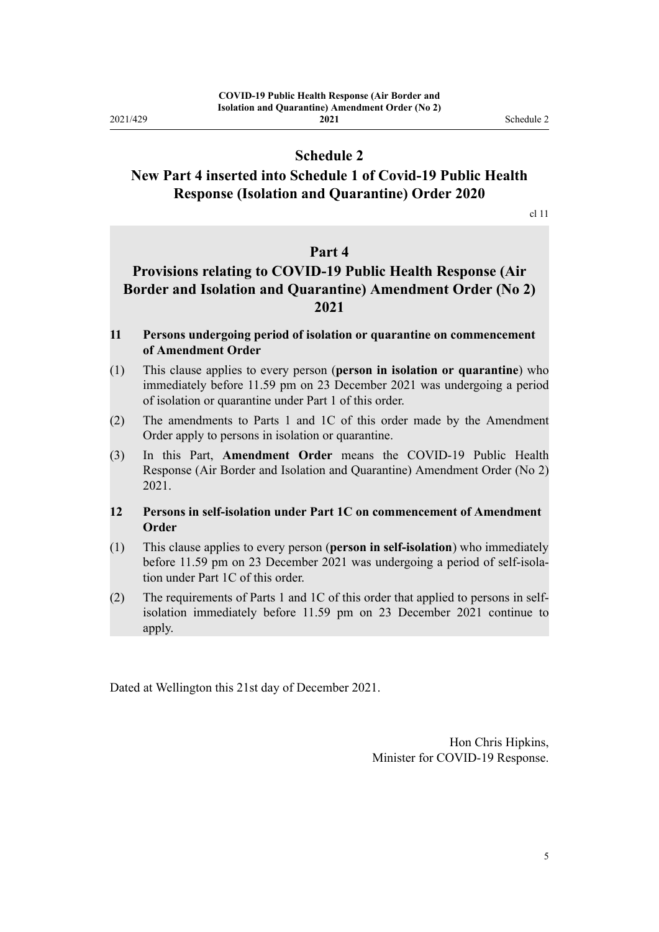<span id="page-4-0"></span>2021/429

## **Schedule 2**

## **New Part 4 inserted into Schedule 1 of Covid-19 Public Health Response (Isolation and Quarantine) Order 2020**

cl 11

### **Part 4**

## **Provisions relating to COVID-19 Public Health Response (Air Border and Isolation and Quarantine) Amendment Order (No 2) 2021**

#### **11 Persons undergoing period of isolation or quarantine on commencement of Amendment Order**

- (1) This clause applies to every person (**person in isolation or quarantine**) who immediately before 11.59 pm on 23 December 2021 was undergoing a period of isolation or quarantine under Part 1 of this order.
- (2) The amendments to Parts 1 and 1C of this order made by the Amendment Order apply to persons in isolation or quarantine.
- (3) In this Part, **Amendment Order** means the COVID-19 Public Health Response (Air Border and Isolation and Quarantine) Amendment Order (No 2) 2021.

### **12 Persons in self-isolation under Part 1C on commencement of Amendment Order**

- (1) This clause applies to every person (**person in self-isolation**) who immediately before 11.59 pm on 23 December 2021 was undergoing a period of self-isola‐ tion under Part 1C of this order.
- (2) The requirements of Parts 1 and 1C of this order that applied to persons in selfisolation immediately before 11.59 pm on 23 December 2021 continue to apply.

Dated at Wellington this 21st day of December 2021.

Hon Chris Hipkins, Minister for COVID-19 Response.